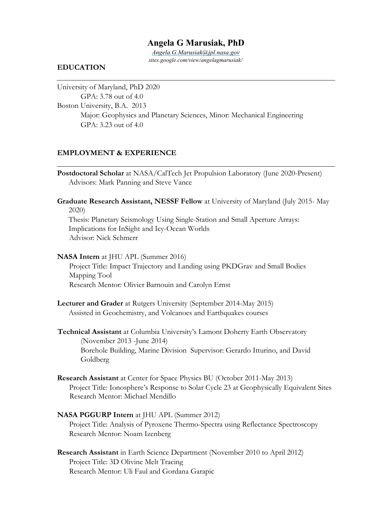# **Angela G Marusiak, PhD**

*Angela.G.Marusiak@jpl.nasa.gov sites.google.com/view/angelagmarusiak/*

### **EDUCATION**

University of Maryland, PhD 2020 GPA: 3.78 out of 4.0 Boston University, B.A. 2013 Major: Geophysics and Planetary Sciences, Minor: Mechanical Engineering GPA: 3.23 out of 4.0

### **EMPLOYMENT & EXPERIENCE**

- **Postdoctoral Scholar** at NASA/CalTech Jet Propulsion Laboratory (June 2020-Present) Advisors: Mark Panning and Steve Vance
- **Graduate Research Assistant, NESSF Fellow** at University of Maryland (July 2015- May 2020) Thesis: Planetary Seismology Using Single-Station and Small Aperture Arrays: Implications for InSight and Icy-Ocean Worlds

Advisor: Nick Schmerr

#### **NASA Intern** at JHU APL (Summer 2016)

Project Title: Impact Trajectory and Landing using PKDGrav and Small Bodies Mapping Tool Research Mentor: Olivier Barnouin and Carolyn Ernst

**Lecturer and Grader** at Rutgers University (September 2014-May 2015) Assisted in Geochemistry, and Volcanoes and Earthquakes courses

**Technical Assistant** at Columbia University's Lamont Doherty Earth Observatory (November 2013 -June 2014) Borehole Building, Marine Division Supervisor: Gerardo Itturino, and David Goldberg

**Research Assistant** at Center for Space Physics BU (October 2011-May 2013) Project Title: Ionosphere's Response to Solar Cycle 23 at Geophysically Equivalent Sites Research Mentor: Michael Mendillo

### **NASA PGGURP Intern** at JHU APL (Summer 2012)

Project Title: Analysis of Pyroxene Thermo-Spectra using Reflectance Spectroscopy Research Mentor: Noam Izenberg

**Research Assistant** in Earth Science Department (November 2010 to April 2012) Project Title: 3D Olivine Melt Tracing Research Mentor: Uli Faul and Gordana Garapic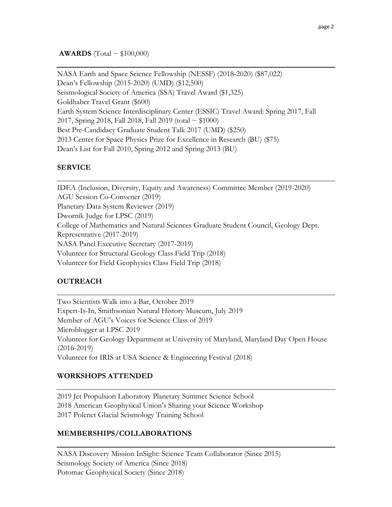NASA Earth and Space Science Fellowship (NESSF) (2018-2020) (\$87,022) Dean's Fellowship (2015-2020) (UMD) (\$12,500) Seismological Society of America (SSA) Travel Award (\$1,325) Goldhaber Travel Grant (\$600) Earth System Science Interdisciplinary Center (ESSIC) Travel Award: Spring 2017, Fall 2017, Spring 2018, Fall 2018, Fall 2019 (total  $\sim$  \$1000) Best Pre-Candidacy Graduate Student Talk 2017 (UMD) (\$250) 2013 Center for Space Physics Prize for Excellence in Research (BU) (\$75) Dean's List for Fall 2010, Spring 2012 and Spring 2013 (BU)

# **SERVICE**

IDEA (Inclusion, Diversity, Equity and Awareness) Committee Member (2019-2020) AGU Session Co-Convener (2019) Planetary Data System Reviewer (2019) Dwornik Judge for LPSC (2019) College of Mathematics and Natural Sciences Graduate Student Council, Geology Dept. Representative (2017-2019) NASA Panel Executive Secretary (2017-2019) Volunteer for Structural Geology Class Field Trip (2018) Volunteer for Field Geophysics Class Field Trip (2018)

## **OUTREACH**

Two Scientists Walk into a Bar, October 2019 Expert-Is-In, Smithsonian Natural History Museum, July 2019 Member of AGU's Voices for Science Class of 2019 Microblogger at LPSC 2019 Volunteer for Geology Department at University of Maryland, Maryland Day Open House (2016-2019) Volunteer for IRIS at USA Science & Engineering Festival (2018)

## **WORKSHOPS ATTENDED**

2019 Jet Propulsion Laboratory Planetary Summer Science School 2018 American Geophysical Union's Sharing your Science Workshop 2017 Polenet Glacial Seismology Training School

### **MEMBERSHIPS/COLLABORATIONS**

NASA Discovery Mission InSight: Science Team Collaborator (Since 2015) Seismology Society of America (Since 2018) Potomac Geophysical Society (Since 2018)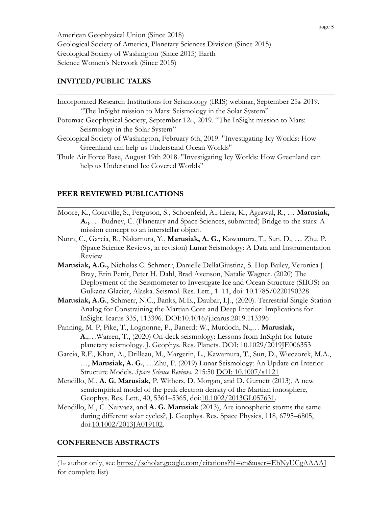American Geophysical Union (Since 2018) Geological Society of America, Planetary Sciences Division (Since 2015) Geological Society of Washington (Since 2015) Earth Science Women's Network (Since 2015)

## **INVITED/PUBLIC TALKS**

| Incorporated Research Institutions for Seismology (IRIS) webinar, September 25th 2019. |
|----------------------------------------------------------------------------------------|
| "The InSight mission to Mars: Seismology in the Solar System"                          |
| Potomac Geophysical Society, September 12th, 2019. "The InSight mission to Mars:       |
| Seismology in the Solar System"                                                        |
| Geological Society of Washington, February 6th, 2019. "Investigating Icy Worlds: How   |
| Greenland can help us Understand Ocean Worlds"                                         |
| Thule Air Force Base, August 19th 2018. "Investigating Icy Worlds: How Greenland can   |
| help us Understand Ice Covered Worlds"                                                 |

### **PEER REVIEWED PUBLICATIONS**

- Moore, K., Courville, S., Ferguson, S., Schoenfeld, A., Llera, K., Agrawal, R., … **Marusiak, A.,** … Budney, C. (Planetary and Space Sciences, submitted) Bridge to the stars: A mission concept to an interstellar object.
- Nunn, C., Garcia, R., Nakamura, Y., **Marusiak, A. G.,** Kawamura, T., Sun, D., … Zhu, P. (Space Science Reviews, in revision) Lunar Seismology: A Data and Instrumentation Review
- **Marusiak, A.G.,** Nicholas C. Schmerr, Danielle DellaGiustina, S. Hop Bailey, Veronica J. Bray, Erin Pettit, Peter H. Dahl, Brad Avenson, Natalie Wagner. (2020) The Deployment of the Seismometer to Investigate Ice and Ocean Structure (SIIOS) on Gulkana Glacier, Alaska. Seismol. Res. Lett., 1–11, doi: 10.1785/0220190328
- **Marusiak, A.G.**, Schmerr, N.C., Banks, M.E., Daubar, I.J., (2020). Terrestrial Single-Station Analog for Constraining the Martian Core and Deep Interior: Implications for InSight. Icarus 335, 113396. DOI:10.1016/j.icarus.2019.113396
- Panning, M. P, Pike, T., Lognonne, P., Banerdt W., Murdoch, N.,… **Marusiak, A**.,…Warren, T., (2020) On-deck seismology: Lessons from InSight for future planetary seismology. J. Geophys. Res. Planets. DOI: 10.1029/2019JE006353
- Garcia, R.F., Khan, A., Drilleau, M., Margerin, L., Kawamura, T., Sun, D., Wieczorek, M.A., …, **Marusiak, A. G.**, …Zhu, P. (2019) Lunar Seismology: An Update on Interior Structure Models. *Space Science Reviews*. 215:50 [DOI: 10.1007/s1121](https://doi.org/10.1007/s1121)
- Mendillo, M., **A. G. Marusiak,** P. Withers, D. Morgan, and D. Gurnett (2013), A new semiempirical model of the peak electron density of the Martian ionosphere, Geophys. Res. Lett., 40, 5361–5365, doi[:10.1002/2013GL057631.](http://dx.doi.org/10.1002/2013GL057631)
- Mendillo, M., C. Narvaez, and **A. G. Marusiak** (2013), Are ionospheric storms the same during different solar cycles?, J. Geophys. Res. Space Physics, 118, 6795–6805, doi[:10.1002/2013JA019102.](http://dx.doi.org/10.1002/2013JA019102)

### **CONFERENCE ABSTRACTS**

(1st author only, see<https://scholar.google.com/citations?hl=en&user=EbNyUCgAAAAJ> for complete list)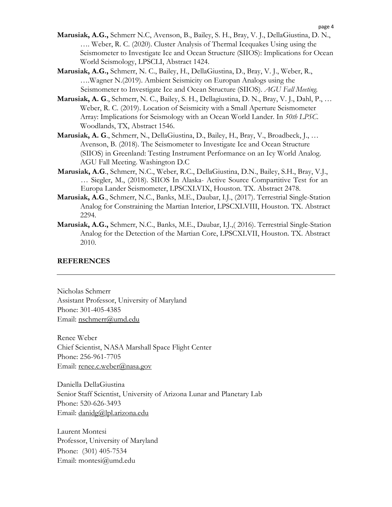- **Marusiak, A.G.,** Schmerr N.C, Avenson, B., Bailey, S. H., Bray, V. J., DellaGiustina, D. N., …. Weber, R. C. (2020). Cluster Analysis of Thermal Icequakes Using using the Seismometer to Investigate Ice and Ocean Structure (SIIOS): Implications for Ocean World Seismology, LPSCLI, Abstract 1424.
- **Marusiak, A.G.,** Schmerr, N. C., Bailey, H., DellaGiustina, D., Bray, V. J., Weber, R., ….Wagner N.(2019). Ambient Seismicity on Europan Analogs using the Seismometer to Investigate Ice and Ocean Structure (SIIOS). *AGU Fall Meeting.*
- **Marusiak, A. G**., Schmerr, N. C., Bailey, S. H., Dellagiustina, D. N., Bray, V. J., Dahl, P., … Weber, R. C. (2019). Location of Seismicity with a Small Aperture Seismometer Array: Implications for Seismology with an Ocean World Lander. In *50th LPSC*. Woodlands, TX, Abstract 1546.
- **Marusiak, A. G**., Schmerr, N., DellaGiustina, D., Bailey, H., Bray, V., Broadbeck, J., … Avenson, B. (2018). The Seismometer to Investigate Ice and Ocean Structure (SIIOS) in Greenland: Testing Instrument Performance on an Icy World Analog. AGU Fall Meeting. Washington D.C
- **Marusiak, A.G**., Schmerr, N.C., Weber, R.C., DellaGiustina, D.N., Bailey, S.H., Bray, V.J., … Siegler, M., (2018). SIIOS In Alaska- Active Source Compartitive Test for an Europa Lander Seismometer, LPSCXLVIX, Houston. TX. Abstract 2478.
- **Marusiak, A.G**., Schmerr, N.C., Banks, M.E., Daubar, I.J., (2017). Terrestrial Single-Station Analog for Constraining the Martian Interior, LPSCXLVIII, Houston. TX. Abstract 2294.
- **Marusiak, A.G.,** Schmerr, N.C., Banks, M.E., Daubar, I.J.,( 2016). Terrestrial Single-Station Analog for the Detection of the Martian Core, LPSCXLVII, Houston. TX. Abstract 2010.

#### **REFERENCES**

Nicholas Schmerr Assistant Professor, University of Maryland Phone: 301-405-4385 Email: nschmerr@umd.edu

Renee Weber Chief Scientist, NASA Marshall Space Flight Center Phone: 256-961-7705 Email: renee.c.weber@nasa.gov

Daniella DellaGiustina Senior Staff Scientist, University of Arizona Lunar and Planetary Lab Phone: 520-626-3493 Email: danidg@lpl.arizona.edu

Laurent Montesi Professor, University of Maryland Phone: (301) 405-7534 Email: montesi@umd.edu